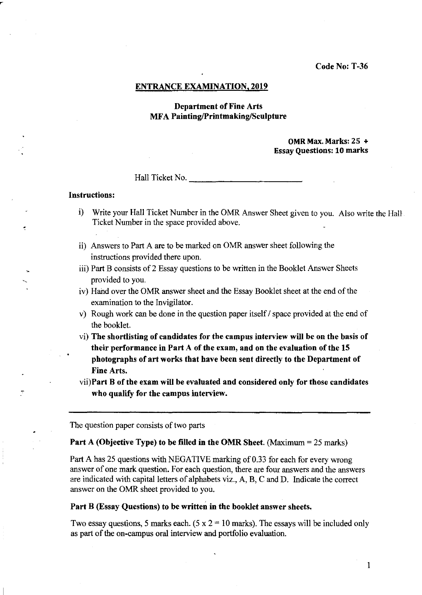#### ENTRANCE EXAMINATION, 2019

# Department of Fine Arts MFA Painting/Printmaking/Sculpture

#### OMR Max. Marks: 25 + Essay Questions: 10 marks

Hall Ticket No.

#### Instructions:

- i) Write your Hall Ticket Number in the OMR Answer Sheet given to you. Also write the Hall Ticket Number in the space provided above.
- ii) Answers to Part A are to be marked on OMR answer sheet following the instructions provided there upon.
- iii) Part B consists of 2 Essay questions to be written in the Booklet Answer Sheets provided to you.
- iv) Hand over the OMR answer sheet and the Essay Booklet sheet at the end of the examination to the Invigilator.
- v) Rough work can be done in the question paper itself / space provided at the end of the booklet.
- vi) The shortlisting of candidates for the campus interview will be on the basis of their performance in Part A of the exam, and on the evaluation of the 15 photographs of art works that have been sent directly to the Department of Fine Arts.
- vii)Part B of the exam will be evaluated and considered only for those candidates who qualify for the campus interview.

The question paper consists of two parts

#### Part A (Objective Type) to be filled in the OMR Sheet. (Maximum = 25 marks)

Part A has 25 questions with NEGATIVE marking of 0.33 for each for every wrong answer of one mark question. For each question, there are four answers and the answers are indicated with capital letters of alphabets viz., A, B, C and D. Indicate the correct answer on the OMR sheet provided to you.

#### Part B (Essay Questions) to be written in the booklet answer sheets.

Two essay questions, 5 marks each. (5 x  $2 = 10$  marks). The essays will be included only as part of the on-campus oral interview and portfolio evaluation.

1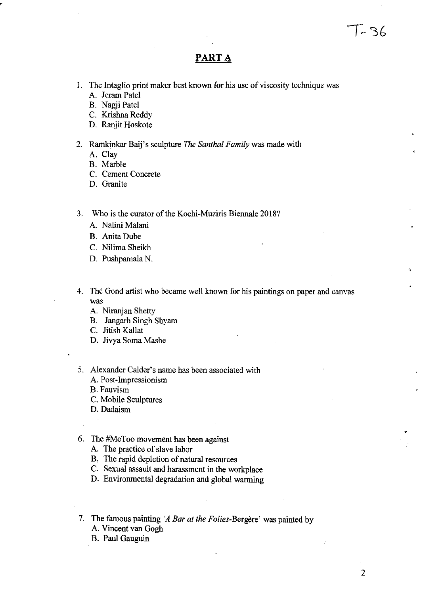# PART A

- I. The Intaglio print maker best known for his use of viscosity technique was A. Jeram Patel
	- B. Nagji Patel
	- C. Krishna Reddy
	- D. Ranjit Hoskote
- 2. Ramkinkar Baij's sculpture *The Santhal Family* was made with
	- A. Clay
	- B. Marble
	- C. Cement Concrete
	- D. Granite
- 3. Who is the curator of the Kochi-Muziris Biennale 2018?
	- A. Nalini Malani
	- B. Anita Dube
	- c. Nilima Sheikh
	- D. Pushpamala N.
- 4. The Gond artist who became well known for his paintings on paper and canvas was
	- A. Niranjan Shetty
	- B. Jangarh Singh Shyam
	- C. Jitish Kallat
	- D. Jivya Soma Mashe
- 5. Alexander Calder's name has been associated with A. Post-Impressionism
	- B. Fauvism
	- c. Mobile Sculptures
	- D. Dadaism
- 6. The #MeToo movement has been against
	- A. The practice of slave labor
	- B. The rapid depletion of natural resources
	- C. Sexual assault and harassment in the workplace
	- D. Enviromnental degradation and global warming
- 7. The famous painting *'A Bar at the Folies-Bergere'* was painted by A. Vincent van Gogh
	- B. Paul Gauguin

•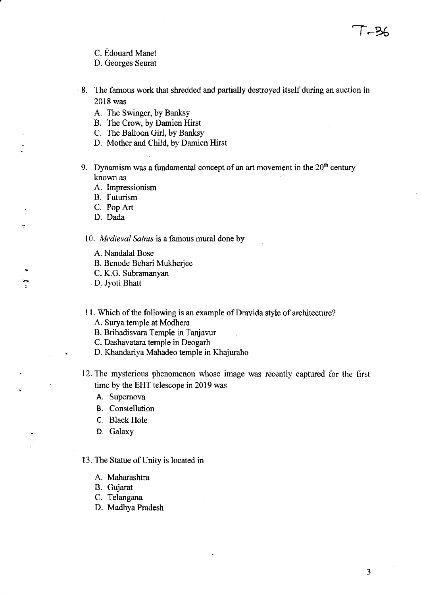- C. Edouard Manet
- D. Georges Seurat
- 8. The famous work that shredded and partially destroyed itself during an auction in 2018 was
	- A. The Swinger, by Banksy
	- B. The Crow, by Damien Hirst
	- C. The Balloon Girl, by Banksy
	- D. Mother and Child, by Damien Hirst
- 9. Dynamism was a fundamental concept of an art movement in the  $20<sup>th</sup>$  century known as
	- A. Impressionism
	- B. Futurism
	- C. PopArt
	- D. Dada

t

.<br>.

*10. Medieval Saints* is a famous mural done by

- A. Nandalal Bose
- B. Benode Behari Mukherjee
- C. K.G. Subramanyan
- D. Jyoti Bhatt
- 11. Which of the following is an example of Dravida style of architecture?
	- A. Surya temple at Modhera
	- B. Brihadisvara Temple in Tanjavur
	- C. Dashavatara temple in Deogarh
	- D. Khandariya Mahadeo temple in Khajuraho
- 12. The mysterious phenomenon whose image was recently captured for the first time by the EHT telescope in 2019 was
	- A. Supernova
	- B. Constellation
	- C. Black Hole
	- D. Galaxy

### 13. The Statue of Unity is located in

- A. Maharashtra
- B. Gujarat
- C. Telangana
- D. Madhya Pradesh

-36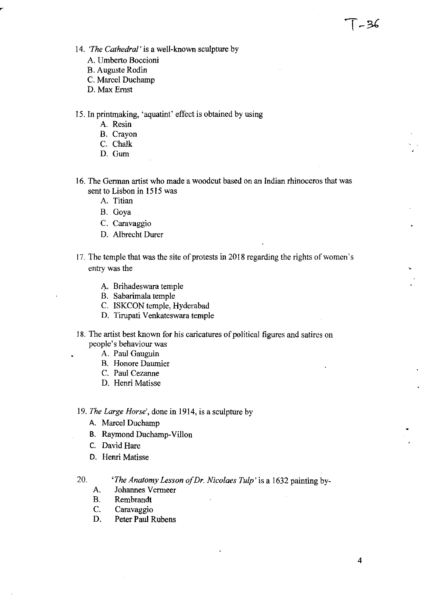- *14. 'The Cathedral'* is a well-known sculpture by
	- A. Umberto Boccioni
	- B. Auguste Rodin
	- C. Marcel Duchamp
	- D. Max Ernst
- 15. In printmaking, 'aquatint' effect is obtained by using
	- A. Resin
	- B. Crayon
	- C. Chalk
	- D. Gum
- 16. The German artist who made a woodcut based on an Indian rhinoceros that was sent to Lisbon in 1515 was
	- A. Titian
	- B. Goya
	- C. Caravaggio
	- D. Albrecht Durer
- 17. The temple that was the site of protests in 2018 regarding the rights of women's entry was the
	- A. Brihadeswara temple
	- B. Sabarimala temple
	- C. ISKCON temple, Hyderabad
	- D. Tirupati Venkateswara temple
- 18. The artist best known for his caricatures of political figures and satires on people's behaviour was
	- A. Paul Gauguin
	- B. Honore Daumier
	- C. Paul Cezanne
	- D. Henri Matisse
- *19. The Large Horse',* done in 1914, is a sculpture by
	- A. Marcel Duchamp
	- B. Raymond Duchamp-Villon
	- C. David Hare
	- D. Henri Matisse

*20. 'The Anatomy Lesson o/Dr. Nicolaes Tulp'* is a 1632 painting by-

- A. Johannes Vermeer
- B. Rembrandt
- C. Caravaggio
- D. Peter Paul Rubens

T - 36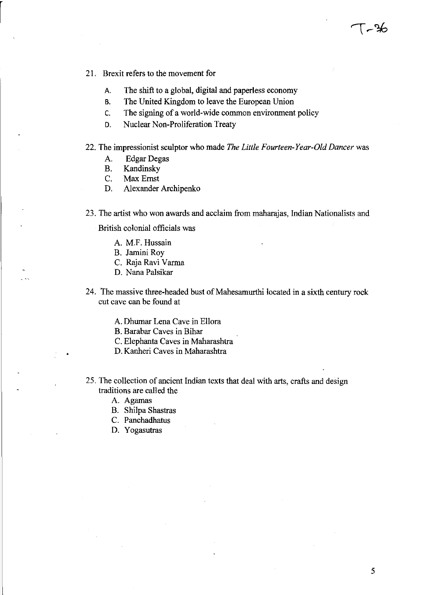- 21. Brexit refers to the movement for
	- A. The shift to a global, digital and paperless economy
	- B. The United Kingdom to leave the European Union
	- c. The signing of a world-wide common environment policy
	- D. Nuclear Non-Proliferation Treaty
- 22. The impressionist sculptor who made *The Little Fourteen-Year-Old Dancer* was
	- A. Edgar Degas
	- B. Kandinsky
	- C. Max Ernst
	- D. Alexander Archipenko
- 23. The artist who won awards and acclaim from maharajas, Indian Nationalists and

British colonial officials was

- A. M.F. Hussain
- B. Jamini Roy
- C. Raja Ravi Varma
- D. Nana Palsikar
- 24. The massive three-headed bust of Mahesarnurthi located in a sixth century rock cut cave can be found at
	- A. Dhumar Lena Cave in Ellora
	- B. Barabar Caves in Bihar
	- C. Elephanta Caves in Maharashtra
	- D. Kanheri Caves in Maharashtra
- 25. The collection of ancient Indian texts that deal with arts, crafts and design traditions are called the
	- A. Agamas
	- B. Shilpa Shastras
	- C. Panchadhatus
	- D. Yogasutras

 $\sim$  36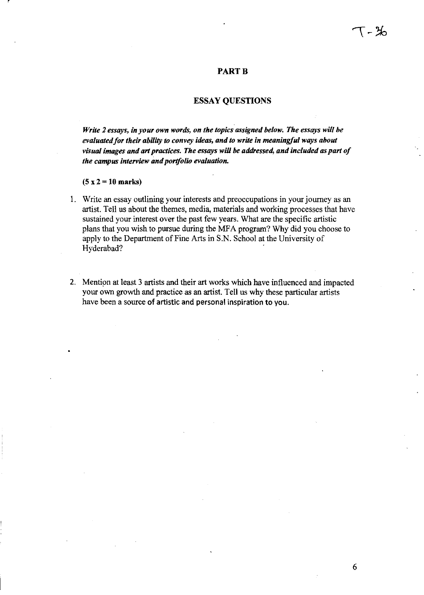### **PART B**

# ESSAY QUESTIONS

*Write* 2 *essays, in your own words, on the topics assigned below. The essays will be evaluated for their ability* to *convey ideas, and to write in meaningful ways about*  visual images and art practices. The essays will be addressed, and included as part of *the campus interview and portfolio evaluation.* 

# $(5 x 2 = 10 \text{ marks})$

- 1. Write an essay outlining your interests and preoccupations in your journey as an artist. Tell us about the themes, media, materials and working processes that have sustained your interest over the past few years. What are the specific artistic plans that you wish to pursue during the MFA program? Why did you choose to apply to the Department of Fine Arts in S.N. School at the University of Hyderabad?
- 2. Mention at least 3 artists and their art works which have influenced and impacted your own growth and practice as an artist. Tell us why these particular artists have been a source of artistic and personal inspiration to you.